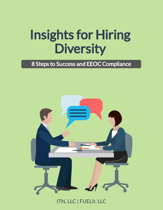# Insights for Hiring **Diversity**

#### 8 Steps to Success and EEOC Compliance



ITN, LLC | FUELit, LLC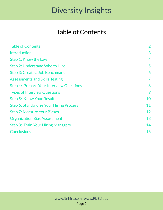#### Table of Contents

| <b>Table of Contents</b>                        | $\overline{2}$ |
|-------------------------------------------------|----------------|
| <b>Introduction</b>                             | 3              |
| Step 1: Know the Law                            | 4              |
| Step 2: Understand Who to Hire                  | 5              |
| Step 3: Create a Job Benchmark                  | 6              |
| <b>Assessments and Skills Testing</b>           | 7              |
| <b>Step 4: Prepare Your Interview Questions</b> | 8              |
| <b>Types of Interview Questions</b>             | 9              |
| <b>Step 5: Know Your Results</b>                | 10             |
| Step 6: Standardize Your Hiring Process         | 11             |
| <b>Step 7: Measure Your Biases</b>              | 12             |
| <b>Organization Bias Assessment</b>             | 13             |
| <b>Step 8: Train Your Hiring Managers</b>       | 14             |
| <b>Conclusions</b>                              | 16             |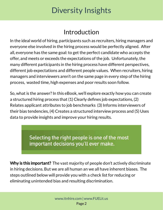#### Introduction

In the ideal world of hiring, participants such as recruiters, hiring managers and everyone else involved in the hiring process would be perfectly aligned. After all, everyone has the same goal: to get the perfect candidate who accepts the offer, and meets or exceeds the expectations of the job. Unfortunately, the many different participants in the hiring process have different perspectives, different job expectations and different people values. When recruiters, hiring managers and interviewers aren't on the same page in every step of the hiring process, wasted time, high expenses and poor results soon follow.

So, what is the answer? In this eBook, we'll explore exactly how you can create a structured hiring process that (1) Clearly defines job expectations, (2) Relates applicant attributes to job benchmarks (3) Informs interviewers of their bias tendencies, (4) Creates a structured interview process and (5) Uses data to provide insights and improve your hiring results.

> Selecting the right people is one of the most important decisions you'll ever make.

Why is this important? The vast majority of people don't actively discriminate in hiring decisions. But we are all human an we all have inherent biases. The steps outlined below will provide you with a check list for reducing or eliminating unintended bias and resulting discrimination.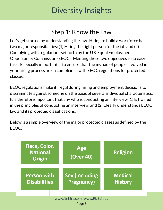#### Step 1: Know the Law

Let's get started by understanding the law. Hiring to build a workforce has two major responsibilities: (1) Hiring the right person for the job and (2) Complying with regulations set forth by the U.S. Equal Employment Opportunity Commission (EEOC). Meeting these two objectives is no easy task. Especially important is to ensure that the myriad of people involved in your hiring process are in compliance with EEOC regulations for protected classes.

EEOC regulations make it illegal during hiring and employment decisions to discriminate against someone on the basis of several individual characteristics. It is therefore important that any who is conducting an interview (1) Is trained in the principles of conducting an interview, and (2) Clearly understands EEOC law and its protected classifications.

Below is a simple overview of the major protected classes as defined by the EEOC.

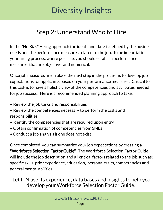### Step 2: Understand Who to Hire

In the "No Bias" Hiring approach the ideal candidate is defined by the business needs and the performance measures related to the job. To be impartial in your hiring process, where possible, you should establish performance measures that are objective, and numerical.

Once job measures are in place the next step in the process is to develop job expectations for applicants based on your performance measures. Critical to this task is to have a holistic view of the competencies and attributes needed for job success. Here is a recommended planning approach to take.

- Review the job tasks and responsibilities
- Review the competencies necessary to perform the tasks and responsibilities
- Identify the competencies that are required upon entry
- Obtain confirmation of competencies from SMEs
- Conduct a job analysis if one does not exist

Once completed, you can summarize your job expectations by creating a "Workforce Selection Factor Guide". The Workforce Selection Factor Guide will include the job description and all critical factors related to the job such as; specific skills, prior experience, education, personal traits, competencies and general mental abilities.

Let ITN use its experience, data bases and insights to help you develop your Workforce Selection Factor Guide.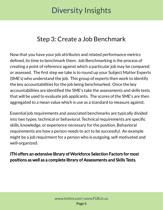#### Step 3: Create a Job Benchmark

Now that you have your job attributes and related performance metrics defined, its time to benchmark them. Job Benchmarking is the process of creating a point of reference against which a particular job may be compared or assessed. The first step we take is to round up your Subject Matter Experts (SME's) who understand the job. This group of experts then work to identify the key accountabilities for the job being benchmarked. Once the key accountabilities are identified the SME's take the assessments and skills tests that will be used to evaluate job applicants. The scores of the SME's are then aggregated to a mean value which is use as a standard to measure against.

Essential job requirements and associated benchmarks are typically divided into two types: technical or behavioral. Technical requirements are specific skills, knowledge, or experience necessary for the position. Behavioral requirements are how a person needs to act to be successful. An example might be a job requirment for a person who is outgoing, self-motivated and well-organized.

ITN offers an extensive library of Workforce Selection Factors for most positions as well as a complete library of Assessments and Skills Tests.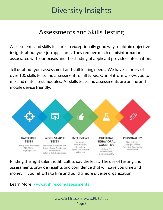#### Assessments and Skills Testing

Assessments and skills test are an exceptionally good way to obtain objective insights about your job applicants. They remove much of misinformation associated with our biases and the shading of applicant provided information.

Tell us about your assessment and skill testing needs. We have a library of over 100 skills tests and assessments of all types. Our platform allows you to mix and match test modules. All skills tests and assessments are online and mobile device friendly.



Finding the right talent is difficult to say the least. The use of testing and assessments provide insights and confidence that will save you time and money in your efforts to hire and build a more diverse organization.

Learn More: www.itnhire.com/assessments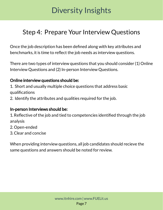### Step 4: Prepare Your Interview Questions

Once the job description has been defined along with key attributes and benchmarks, it is time to reflect the job needs as interview questions.

There are two types of interview questions that you should consider (1) Online Interview Questions and (2) In-person Interview Questions.

#### Online interview questions should be:

1. Short and usually multiple choice questions that address basic qualifications

2. Identify the attributes and qualities required for the job.

#### In-person Interviews should be:

1. Reflective of the job and tied to competencies identified through the job analysis

- 2. Open-ended
- 3. Clear and concise

When providing interview questions, all job candidates should recieve the same questions and answers should be noted for review.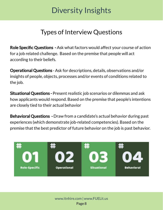### Types of Interview Questions

Role Specific Questions - Ask what factors would affect your course of action for a job related challenge. Based on the premise that people will act according to their beliefs.

Operational Questions - Ask for descriptions, details, observations and/or insights of people, objects, processes and/or events of conditions related to the job.

Situational Questions - Present realistic job scenarios or dilemmas and ask how applicants would respond. Based on the premise that people's intentions are closely tied to their actual behavior

Behavioral Questions - Draw from a candidate's actual behavior during past experiences (which demonstrate job-related competencies). Based on the premise that the best predictor of future behavior on the job is past behavior.

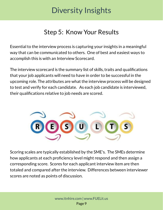### Step 5: Know Your Results

Essential to the interview process is capturing your insights in a meaningful way that can be communicated to others. One of best and easiest ways to accomplish this is with an Interview Scorecard.

The interview scorecard is the summary list of skills, traits and qualifications that your job applicants will need to have in order to be successful in the upcoming role. The attributes are what the interview process will be designed to test and verify for each candidate. As each job candidate is interviewed, their qualifications relative to job needs are scored.



Scoring scales are typically established by the SME's. The SMEs determine how applicants at each proficiency level might respond and then assign a corresponding score. Scores for each applicant interview item are then totaled and compared after the interview. Differences between interviewer scores are noted as points of discussion.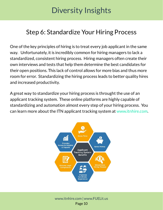#### Step 6: Standardize Your Hiring Process

One of the key principles of hiring is to treat every job applicant in the same way. Unfortunately, it is incredibly common for hiring managers to lack a standardized, consistent hiring process. Hiring managers often create their own interviews and tests that help them determine the best candidates for their open positions. This lack of control allows for more bias and thus more room for error. Standardizing the hiring process leads to better quality hires and increased productivity.

A great way to standardize your hiring process is throught the use of an applicant tracking system. These online platforms are highly capable of standardizing and automation almost every step of your hiring process. You can learn more about the ITN applicant tracking system at www.itnhire.com.

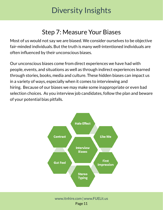#### Step 7: Measure Your Biases

Most of us would not say we are biased. We consider ourselves to be objective fair-minded individuals. But the truth is many well-intentioned individuals are often influenced by their unconscious biases.

Our unconscious biases come from direct experiences we have had with people, events, and situations as well as through indirect experiences learned through stories, books, media and culture. These hidden biases can impact us in a variety of ways, especially when it comes to interviewing and hiring. Because of our biases we may make some inappropriate or even bad selection choices. As you interview job candidates, follow the plan and beware of your potential bias pitfalls.



#### Page 11 www.itnhire.com | www.FUELit.us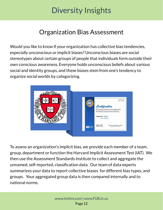#### Organization Bias Assessment

Would you like to know if your organization has collective bias tendencies, especially unconscious or implicit biases? Unconscious biases are social stereotypes about certain groups of people that individuals form outside their own conscious awareness. Everyone holds unconscious beliefs about various social and identity groups, and these biases stem from one's tendency to organize social worlds by categorizing.



To assess an organization's implicit bias, we provide each member of a team, group, department or function the Harvard Implicit Assessment Test (IAT). We then use the Assessment Standards Institute to collect and aggregate the unnamed, self-reported, classification data. Our team of data experts summarizes your data to report collective biases for different bias types, and groups. Your aggregated group data is then compared internally and to national norms.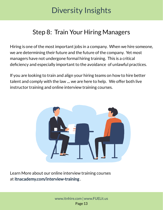#### Step 8: Train Your Hiring Managers

Hiring is one of the most important jobs in a company. When we hire someone, we are determining their future and the future of the company. Yet most managers have not undergone formal hiring training. This is a critical deficiency and especially important to the avoidance of unlawful practices.

If you are looking to train and align your hiring teams on how to hire better talent and comply with the law .... we are here to help. We offer both live instructor training and online interview training courses.



Learn More about our online interview training courses at itnacademy.com/interview-training .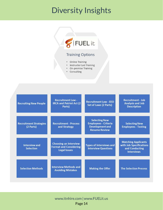

#### **Training Options**

- Online Training
- Instructor Led Training  $\bullet$
- On-premise Training
- Consulting

| <b>Recruiting New People</b>               | <b>Recruitment Law -</b><br><b>IRCA and Patriot Act (2)</b><br>Parts)                | <b>Recruitment Law - EEO</b><br><b>Set of Laws (2 Parts)</b>                                          | <b>Recruitment - Job</b><br><b>Analysis and Job</b><br><b>Description</b>                    |
|--------------------------------------------|--------------------------------------------------------------------------------------|-------------------------------------------------------------------------------------------------------|----------------------------------------------------------------------------------------------|
| <b>Recruitment Strategies</b><br>(2 Parts) | <b>Recruitment - Process</b><br>and Strategy                                         | <b>Selecting New</b><br><b>Employees - Criteria</b><br><b>Development and</b><br><b>Resume Review</b> | <b>Selecting New</b><br><b>Employees - Testing</b>                                           |
| <b>Interview and</b><br><b>Selection</b>   | <b>Choosing an Interview</b><br><b>Format and Considering</b><br><b>Legal Issues</b> | <b>Types of Interviews and</b><br><b>Interview Questions</b>                                          | <b>Matching Applicants</b><br>with Job Specifications<br>and Conducting<br><b>Interviews</b> |
| <b>Selection Methods</b>                   | <b>Interview Methods and</b><br><b>Avoiding Mistakes</b>                             | <b>Making the Offer</b>                                                                               | <b>The Selection Process</b>                                                                 |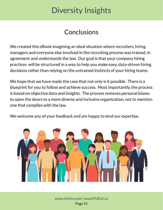#### **Conclusions**

We created this eBook imagining an ideal situation where recruiters, hiring managers and everyone else involved in the recruiting process was trained, in agreement and understands the law. Our goal is that your company hiring practices will be structured in a way to help you make easy, data-driven hiring decisions rather than relying on the untrained instincts of your hiring teams.

We hope that we have made the case that not only is it possible. There is a blueprint for you to follow and achieve success. Most importantly, the process is based on objective data and insights. The process removes personal biases to open the doors to a more diverse and inclusive organization, not to mention one that complies with the law.

We welcome any of your feedback and are happy to lend our expertise.